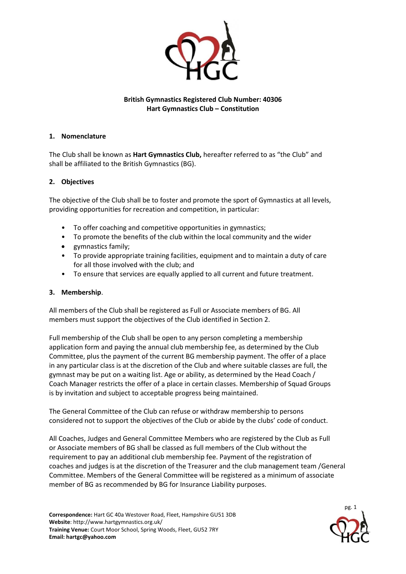

# **British Gymnastics Registered Club Number: 40306 Hart Gymnastics Club – Constitution**

## **1. Nomenclature**

The Club shall be known as **Hart Gymnastics Club,** hereafter referred to as "the Club" and shall be affiliated to the British Gymnastics (BG).

### **2. Objectives**

The objective of the Club shall be to foster and promote the sport of Gymnastics at all levels, providing opportunities for recreation and competition, in particular:

- To offer coaching and competitive opportunities in gymnastics;
- To promote the benefits of the club within the local community and the wider
- gymnastics family;
- To provide appropriate training facilities, equipment and to maintain a duty of care for all those involved with the club; and
- To ensure that services are equally applied to all current and future treatment.

#### **3. Membership**.

All members of the Club shall be registered as Full or Associate members of BG. All members must support the objectives of the Club identified in Section 2.

Full membership of the Club shall be open to any person completing a membership application form and paying the annual club membership fee, as determined by the Club Committee, plus the payment of the current BG membership payment. The offer of a place in any particular class is at the discretion of the Club and where suitable classes are full, the gymnast may be put on a waiting list. Age or ability, as determined by the Head Coach / Coach Manager restricts the offer of a place in certain classes. Membership of Squad Groups is by invitation and subject to acceptable progress being maintained.

The General Committee of the Club can refuse or withdraw membership to persons considered not to support the objectives of the Club or abide by the clubs' code of conduct.

All Coaches, Judges and General Committee Members who are registered by the Club as Full or Associate members of BG shall be classed as full members of the Club without the requirement to pay an additional club membership fee. Payment of the registration of coaches and judges is at the discretion of the Treasurer and the club management team /General Committee. Members of the General Committee will be registered as a minimum of associate member of BG as recommended by BG for Insurance Liability purposes.

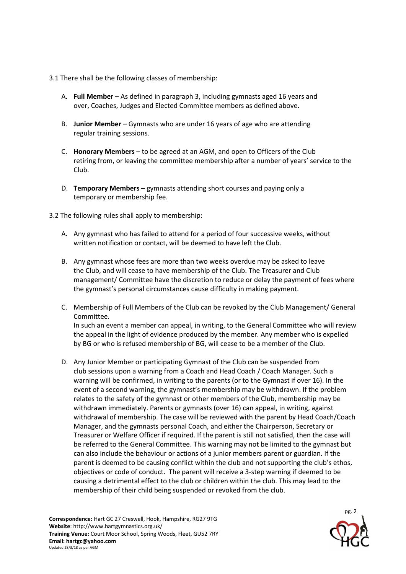3.1 There shall be the following classes of membership:

- A. **Full Member**  As defined in paragraph 3, including gymnasts aged 16 years and over, Coaches, Judges and Elected Committee members as defined above.
- B. **Junior Member**  Gymnasts who are under 16 years of age who are attending regular training sessions.
- C. **Honorary Members**  to be agreed at an AGM, and open to Officers of the Club retiring from, or leaving the committee membership after a number of years' service to the Club.
- D. **Temporary Members**  gymnasts attending short courses and paying only a temporary or membership fee.

3.2 The following rules shall apply to membership:

- A. Any gymnast who has failed to attend for a period of four successive weeks, without written notification or contact, will be deemed to have left the Club.
- B. Any gymnast whose fees are more than two weeks overdue may be asked to leave the Club, and will cease to have membership of the Club. The Treasurer and Club management/ Committee have the discretion to reduce or delay the payment of fees where the gymnast's personal circumstances cause difficulty in making payment.
- C. Membership of Full Members of the Club can be revoked by the Club Management/ General Committee. In such an event a member can appeal, in writing, to the General Committee who will review

the appeal in the light of evidence produced by the member. Any member who is expelled by BG or who is refused membership of BG, will cease to be a member of the Club.

D. Any Junior Member or participating Gymnast of the Club can be suspended from club sessions upon a warning from a Coach and Head Coach / Coach Manager. Such a warning will be confirmed, in writing to the parents (or to the Gymnast if over 16). In the event of a second warning, the gymnast's membership may be withdrawn. If the problem relates to the safety of the gymnast or other members of the Club, membership may be withdrawn immediately. Parents or gymnasts (over 16) can appeal, in writing, against withdrawal of membership. The case will be reviewed with the parent by Head Coach/Coach Manager, and the gymnasts personal Coach, and either the Chairperson, Secretary or Treasurer or Welfare Officer if required. If the parent is still not satisfied, then the case will be referred to the General Committee. This warning may not be limited to the gymnast but can also include the behaviour or actions of a junior members parent or guardian. If the parent is deemed to be causing conflict within the club and not supporting the club's ethos, objectives or code of conduct. The parent will receive a 3-step warning if deemed to be causing a detrimental effect to the club or children within the club. This may lead to the membership of their child being suspended or revoked from the club.

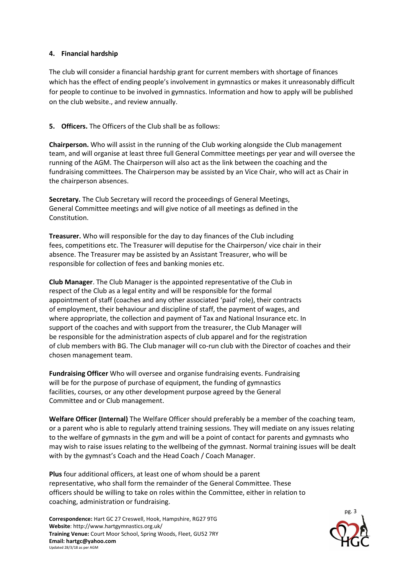### **4. Financial hardship**

The club will consider a financial hardship grant for current members with shortage of finances which has the effect of ending people's involvement in gymnastics or makes it unreasonably difficult for people to continue to be involved in gymnastics. Information and how to apply will be published on the club website., and review annually.

# **5. Officers.** The Officers of the Club shall be as follows:

**Chairperson.** Who will assist in the running of the Club working alongside the Club management team, and will organise at least three full General Committee meetings per year and will oversee the running of the AGM. The Chairperson will also act as the link between the coaching and the fundraising committees. The Chairperson may be assisted by an Vice Chair, who will act as Chair in the chairperson absences.

**Secretary.** The Club Secretary will record the proceedings of General Meetings, General Committee meetings and will give notice of all meetings as defined in the Constitution.

**Treasurer.** Who will responsible for the day to day finances of the Club including fees, competitions etc. The Treasurer will deputise for the Chairperson/ vice chair in their absence. The Treasurer may be assisted by an Assistant Treasurer, who will be responsible for collection of fees and banking monies etc.

**Club Manager**. The Club Manager is the appointed representative of the Club in respect of the Club as a legal entity and will be responsible for the formal appointment of staff (coaches and any other associated 'paid' role), their contracts of employment, their behaviour and discipline of staff, the payment of wages, and where appropriate, the collection and payment of Tax and National Insurance etc. In support of the coaches and with support from the treasurer, the Club Manager will be responsible for the administration aspects of club apparel and for the registration of club members with BG. The Club manager will co-run club with the Director of coaches and their chosen management team.

**Fundraising Officer** Who will oversee and organise fundraising events. Fundraising will be for the purpose of purchase of equipment, the funding of gymnastics facilities, courses, or any other development purpose agreed by the General Committee and or Club management.

**Welfare Officer (Internal)** The Welfare Officer should preferably be a member of the coaching team, or a parent who is able to regularly attend training sessions. They will mediate on any issues relating to the welfare of gymnasts in the gym and will be a point of contact for parents and gymnasts who may wish to raise issues relating to the wellbeing of the gymnast. Normal training issues will be dealt with by the gymnast's Coach and the Head Coach / Coach Manager.

**Plus** four additional officers, at least one of whom should be a parent representative, who shall form the remainder of the General Committee. These officers should be willing to take on roles within the Committee, either in relation to coaching, administration or fundraising.

**Correspondence:** Hart GC 27 Creswell, Hook, Hampshire, RG27 9TG **Website**: http://www.hartgymnastics.org.uk/ **Training Venue:** Court Moor School, Spring Woods, Fleet, GU52 7RY **Email: hartgc@yahoo.com** Updated 28/3/18 as per AGM

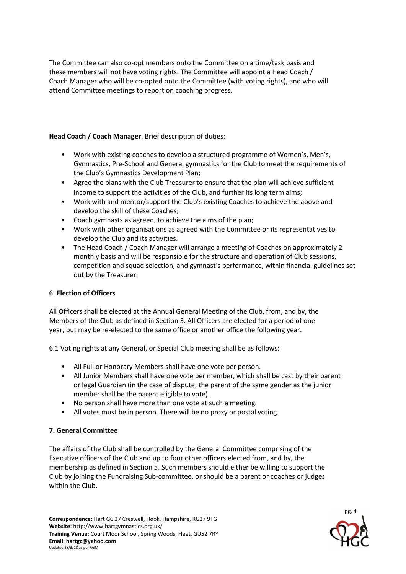The Committee can also co-opt members onto the Committee on a time/task basis and these members will not have voting rights. The Committee will appoint a Head Coach / Coach Manager who will be co-opted onto the Committee (with voting rights), and who will attend Committee meetings to report on coaching progress.

**Head Coach / Coach Manager**. Brief description of duties:

- Work with existing coaches to develop a structured programme of Women's, Men's, Gymnastics, Pre-School and General gymnastics for the Club to meet the requirements of the Club's Gymnastics Development Plan;
- Agree the plans with the Club Treasurer to ensure that the plan will achieve sufficient income to support the activities of the Club, and further its long term aims;
- Work with and mentor/support the Club's existing Coaches to achieve the above and develop the skill of these Coaches;
- Coach gymnasts as agreed, to achieve the aims of the plan;
- Work with other organisations as agreed with the Committee or its representatives to develop the Club and its activities.
- The Head Coach / Coach Manager will arrange a meeting of Coaches on approximately 2 monthly basis and will be responsible for the structure and operation of Club sessions, competition and squad selection, and gymnast's performance, within financial guidelines set out by the Treasurer.

# 6. **Election of Officers**

All Officers shall be elected at the Annual General Meeting of the Club, from, and by, the Members of the Club as defined in Section 3. All Officers are elected for a period of one year, but may be re-elected to the same office or another office the following year.

6.1 Voting rights at any General, or Special Club meeting shall be as follows:

- All Full or Honorary Members shall have one vote per person.
- All Junior Members shall have one vote per member, which shall be cast by their parent or legal Guardian (in the case of dispute, the parent of the same gender as the junior member shall be the parent eligible to vote).
- No person shall have more than one vote at such a meeting.
- All votes must be in person. There will be no proxy or postal voting.

# **7. General Committee**

The affairs of the Club shall be controlled by the General Committee comprising of the Executive officers of the Club and up to four other officers elected from, and by, the membership as defined in Section 5. Such members should either be willing to support the Club by joining the Fundraising Sub-committee, or should be a parent or coaches or judges within the Club.

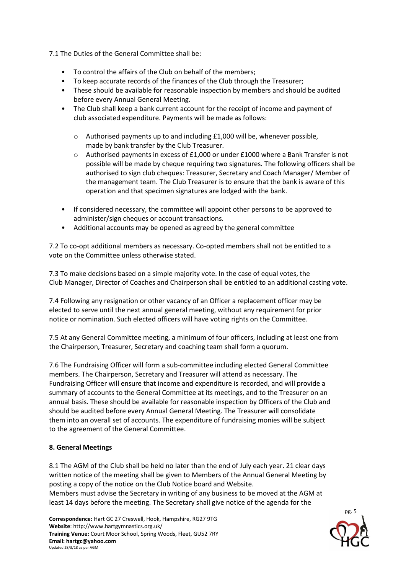7.1 The Duties of the General Committee shall be:

- To control the affairs of the Club on behalf of the members;
- To keep accurate records of the finances of the Club through the Treasurer;
- These should be available for reasonable inspection by members and should be audited before every Annual General Meeting.
- The Club shall keep a bank current account for the receipt of income and payment of club associated expenditure. Payments will be made as follows:
	- o Authorised payments up to and including £1,000 will be, whenever possible, made by bank transfer by the Club Treasurer.
	- $\circ$  Authorised payments in excess of £1,000 or under £1000 where a Bank Transfer is not possible will be made by cheque requiring two signatures. The following officers shall be authorised to sign club cheques: Treasurer, Secretary and Coach Manager/ Member of the management team. The Club Treasurer is to ensure that the bank is aware of this operation and that specimen signatures are lodged with the bank.
- If considered necessary, the committee will appoint other persons to be approved to administer/sign cheques or account transactions.
- Additional accounts may be opened as agreed by the general committee

7.2 To co-opt additional members as necessary. Co-opted members shall not be entitled to a vote on the Committee unless otherwise stated.

7.3 To make decisions based on a simple majority vote. In the case of equal votes, the Club Manager, Director of Coaches and Chairperson shall be entitled to an additional casting vote.

7.4 Following any resignation or other vacancy of an Officer a replacement officer may be elected to serve until the next annual general meeting, without any requirement for prior notice or nomination. Such elected officers will have voting rights on the Committee.

7.5 At any General Committee meeting, a minimum of four officers, including at least one from the Chairperson, Treasurer, Secretary and coaching team shall form a quorum.

7.6 The Fundraising Officer will form a sub-committee including elected General Committee members. The Chairperson, Secretary and Treasurer will attend as necessary. The Fundraising Officer will ensure that income and expenditure is recorded, and will provide a summary of accounts to the General Committee at its meetings, and to the Treasurer on an annual basis. These should be available for reasonable inspection by Officers of the Club and should be audited before every Annual General Meeting. The Treasurer will consolidate them into an overall set of accounts. The expenditure of fundraising monies will be subject to the agreement of the General Committee.

# **8. General Meetings**

8.1 The AGM of the Club shall be held no later than the end of July each year. 21 clear days written notice of the meeting shall be given to Members of the Annual General Meeting by posting a copy of the notice on the Club Notice board and Website.

Members must advise the Secretary in writing of any business to be moved at the AGM at least 14 days before the meeting. The Secretary shall give notice of the agenda for the

**Correspondence:** Hart GC 27 Creswell, Hook, Hampshire, RG27 9TG **Website**: http://www.hartgymnastics.org.uk/ **Training Venue:** Court Moor School, Spring Woods, Fleet, GU52 7RY **Email: hartgc@yahoo.com** Updated 28/3/18 as per AGM

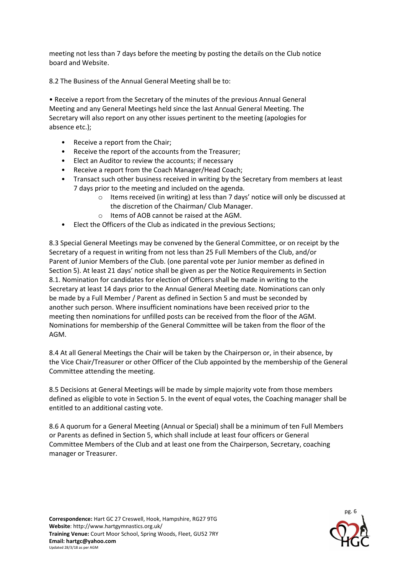meeting not less than 7 days before the meeting by posting the details on the Club notice board and Website.

8.2 The Business of the Annual General Meeting shall be to:

• Receive a report from the Secretary of the minutes of the previous Annual General Meeting and any General Meetings held since the last Annual General Meeting. The Secretary will also report on any other issues pertinent to the meeting (apologies for absence etc.);

- Receive a report from the Chair;
- Receive the report of the accounts from the Treasurer;
- Elect an Auditor to review the accounts; if necessary
- Receive a report from the Coach Manager/Head Coach;
- Transact such other business received in writing by the Secretary from members at least 7 days prior to the meeting and included on the agenda.
	- o Items received (in writing) at less than 7 days' notice will only be discussed at the discretion of the Chairman/ Club Manager.
	- o Items of AOB cannot be raised at the AGM.
- Elect the Officers of the Club as indicated in the previous Sections;

8.3 Special General Meetings may be convened by the General Committee, or on receipt by the Secretary of a request in writing from not less than 25 Full Members of the Club, and/or Parent of Junior Members of the Club. (one parental vote per Junior member as defined in Section 5). At least 21 days' notice shall be given as per the Notice Requirements in Section 8.1. Nomination for candidates for election of Officers shall be made in writing to the Secretary at least 14 days prior to the Annual General Meeting date. Nominations can only be made by a Full Member / Parent as defined in Section 5 and must be seconded by another such person. Where insufficient nominations have been received prior to the meeting then nominations for unfilled posts can be received from the floor of the AGM. Nominations for membership of the General Committee will be taken from the floor of the AGM.

8.4 At all General Meetings the Chair will be taken by the Chairperson or, in their absence, by the Vice Chair/Treasurer or other Officer of the Club appointed by the membership of the General Committee attending the meeting.

8.5 Decisions at General Meetings will be made by simple majority vote from those members defined as eligible to vote in Section 5. In the event of equal votes, the Coaching manager shall be entitled to an additional casting vote.

8.6 A quorum for a General Meeting (Annual or Special) shall be a minimum of ten Full Members or Parents as defined in Section 5, which shall include at least four officers or General Committee Members of the Club and at least one from the Chairperson, Secretary, coaching manager or Treasurer.